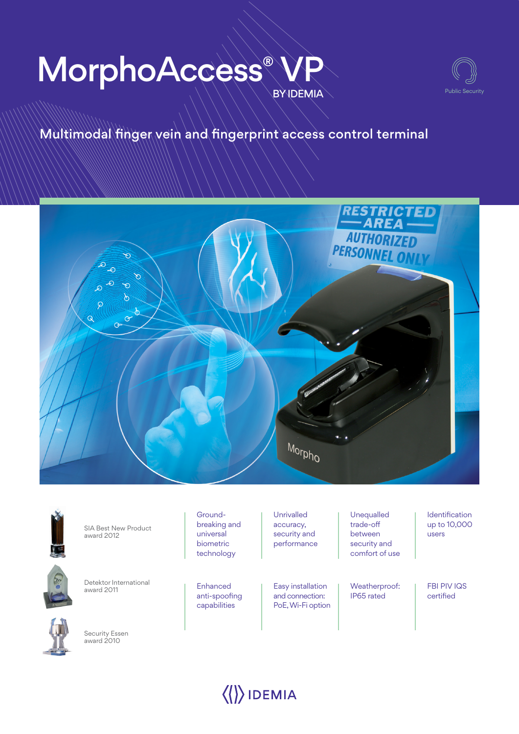# **BY IDEMIA** MorphoAccess®



# Multimodal finger vein and fingerprint access control terminal





SIA Best New Product award 2012



Detektor International award 2011



Security Essen award 2010

Groundbreaking and universal biometric technology

Enhanced anti-spoofing capabilities

Unrivalled accuracy, security and performance

Easy installation and connection: PoE, Wi-Fi option Unequalled trade-off between security and comfort of use

Weatherproof: IP65 rated

Identification up to 10,000 users

FBI PIV IQS certified